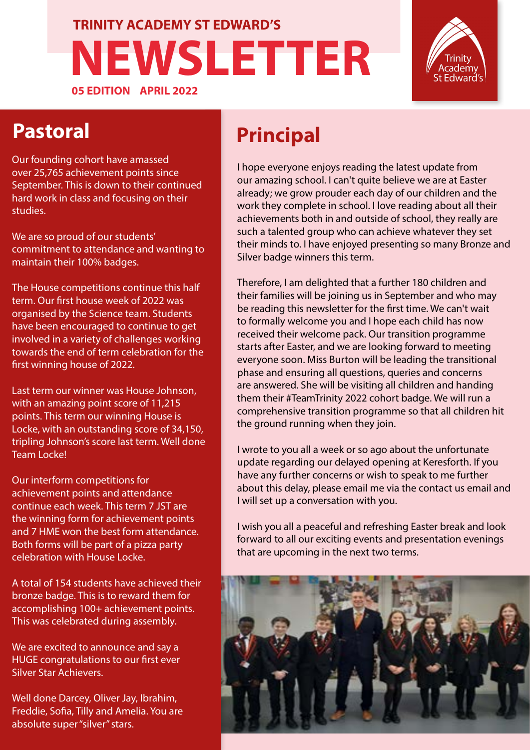#### **NEWSLETTER 05 EDITION APRIL 2022 TRINITY ACADEMY ST EDWARD'S**



**Pastoral**

Our founding cohort have amassed over 25,765 achievement points since September. This is down to their continued hard work in class and focusing on their studies.

We are so proud of our students' commitment to attendance and wanting to maintain their 100% badges.

The House competitions continue this half term. Our first house week of 2022 was organised by the Science team. Students have been encouraged to continue to get involved in a variety of challenges working towards the end of term celebration for the first winning house of 2022.

Last term our winner was House Johnson, with an amazing point score of 11,215 points. This term our winning House is Locke, with an outstanding score of 34,150, tripling Johnson's score last term. Well done Team Locke!

Our interform competitions for achievement points and attendance continue each week. This term 7 JST are the winning form for achievement points and 7 HME won the best form attendance. Both forms will be part of a pizza party celebration with House Locke.

A total of 154 students have achieved their bronze badge. This is to reward them for accomplishing 100+ achievement points. This was celebrated during assembly.

We are excited to announce and say a HUGE congratulations to our first ever Silver Star Achievers.

Well done Darcey, Oliver Jay, Ibrahim, Freddie, Sofia, Tilly and Amelia. You are absolute super "silver" stars.

#### **Principal**

I hope everyone enjoys reading the latest update from our amazing school. I can't quite believe we are at Easter already; we grow prouder each day of our children and the work they complete in school. I love reading about all their achievements both in and outside of school, they really are such a talented group who can achieve whatever they set their minds to. I have enjoyed presenting so many Bronze and Silver badge winners this term.

Therefore, I am delighted that a further 180 children and their families will be joining us in September and who may be reading this newsletter for the first time. We can't wait to formally welcome you and I hope each child has now received their welcome pack. Our transition programme starts after Easter, and we are looking forward to meeting everyone soon. Miss Burton will be leading the transitional phase and ensuring all questions, queries and concerns are answered. She will be visiting all children and handing them their #TeamTrinity 2022 cohort badge. We will run a comprehensive transition programme so that all children hit the ground running when they join.

I wrote to you all a week or so ago about the unfortunate update regarding our delayed opening at Keresforth. If you have any further concerns or wish to speak to me further about this delay, please email me via the contact us email and I will set up a conversation with you.

I wish you all a peaceful and refreshing Easter break and look forward to all our exciting events and presentation evenings that are upcoming in the next two terms.

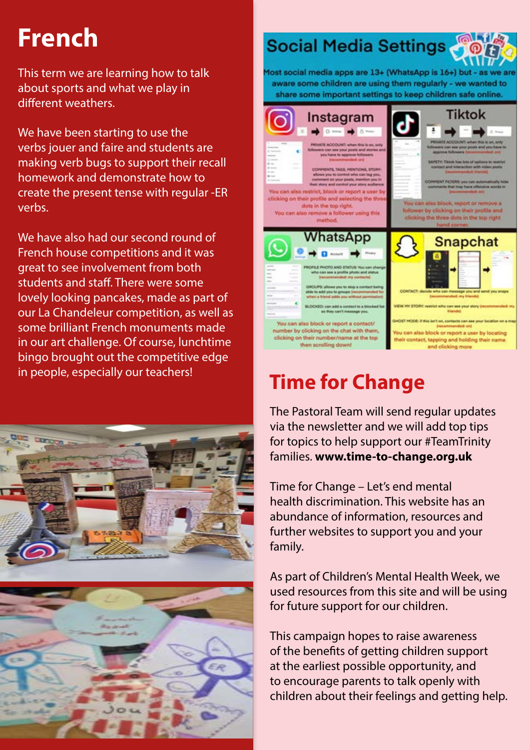## **French**

This term we are learning how to talk about sports and what we play in different weathers.

We have been starting to use the verbs jouer and faire and students are making verb bugs to support their recall homework and demonstrate how to create the present tense with regular -ER verbs.

We have also had our second round of French house competitions and it was great to see involvement from both students and staff. There were some lovely looking pancakes, made as part of our La Chandeleur competition, as well as some brilliant French monuments made in our art challenge. Of course, lunchtime bingo brought out the competitive edge in people, especially our teachers!





#### **Social Media Settings**

Most social media apps are 13+ (WhatsApp is 16+) but - as we are aware some children are using them regularly - we wanted to share some important settings to keep children safe online.



#### **Time for Change**

The Pastoral Team will send regular updates via the newsletter and we will add top tips for topics to help support our #TeamTrinity families. **www.time-to-change.org.uk** 

Time for Change – Let's end mental health discrimination. This website has an abundance of information, resources and further websites to support you and your family.

As part of Children's Mental Health Week, we used resources from this site and will be using for future support for our children.

This campaign hopes to raise awareness of the benefits of getting children support at the earliest possible opportunity, and to encourage parents to talk openly with children about their feelings and getting help.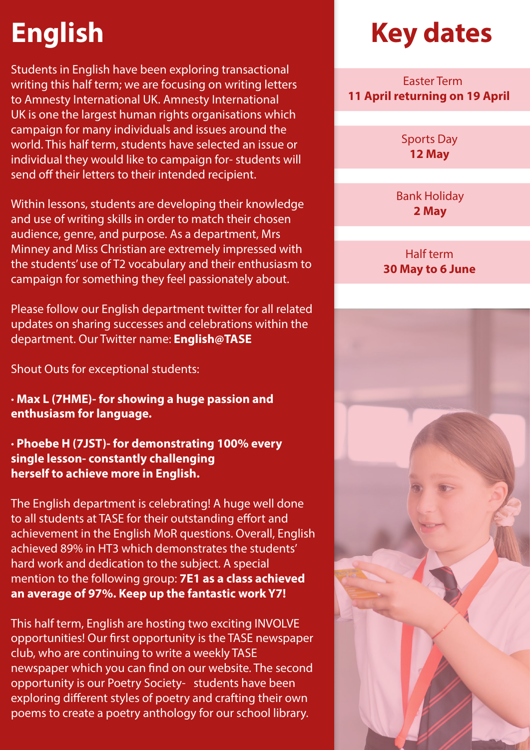# **English**

Students in English have been exploring transactional writing this half term; we are focusing on writing letters to Amnesty International UK. Amnesty International UK is one the largest human rights organisations which campaign for many individuals and issues around the world. This half term, students have selected an issue or individual they would like to campaign for- students will send off their letters to their intended recipient.

Within lessons, students are developing their knowledge and use of writing skills in order to match their chosen audience, genre, and purpose. As a department, Mrs Minney and Miss Christian are extremely impressed with the students' use of T2 vocabulary and their enthusiasm to campaign for something they feel passionately about.

Please follow our English department twitter for all related updates on sharing successes and celebrations within the department. Our Twitter name: **English@TASE**

Shout Outs for exceptional students:

**· Max L (7HME)- for showing a huge passion and enthusiasm for language.**

**· Phoebe H (7JST)- for demonstrating 100% every single lesson- constantly challenging herself to achieve more in English.**

The English department is celebrating! A huge well done to all students at TASE for their outstanding effort and achievement in the English MoR questions. Overall, English achieved 89% in HT3 which demonstrates the students' hard work and dedication to the subject. A special mention to the following group: **7E1 as a class achieved an average of 97%. Keep up the fantastic work Y7!**

This half term, English are hosting two exciting INVOLVE opportunities! Our first opportunity is the TASE newspaper club, who are continuing to write a weekly TASE newspaper which you can find on our website. The second opportunity is our Poetry Society- students have been exploring different styles of poetry and crafting their own poems to create a poetry anthology for our school library.

## **Key dates**

 Easter Term **11 April returning on 19 April**

> Sports Day **12 May**

Bank Holiday **2 May**

#### Half term **30 May to 6 June**

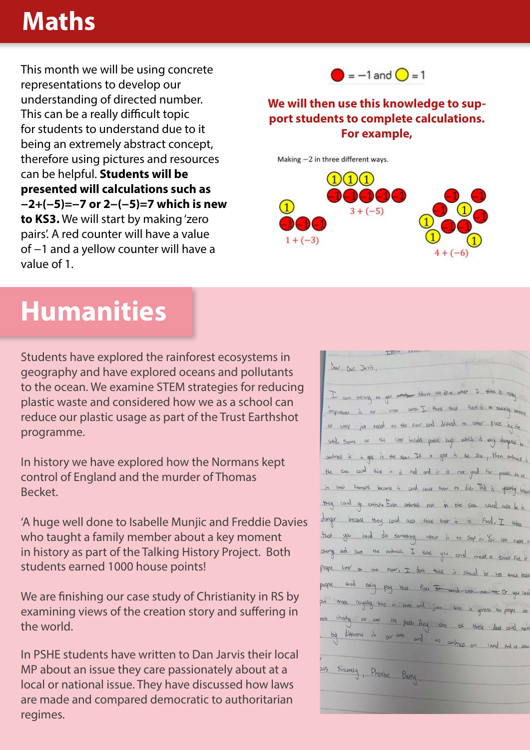#### **Maths**

This month we will be using concrete representations to develop our understanding of directed number. This can be a really difficult topic for students to understand due to it being an extremely abstract concept, therefore using pictures and resources can be helpful. **Students will be presented will calculations such as −2+(−5)=−7 or 2−(−5)=7 which is new to KS3.** We will start by making 'zero pairs'. A red counter will have a value of −1 and a yellow counter will have a value of 1.



#### **We will then use this knowledge to support students to complete calculations. For example,**

Making -2 in three different ways.



## **Humanities**

Students have explored the rainforest ecosystems in geography and have explored oceans and pollutants to the ocean. We examine STEM strategies for reducing plastic waste and considered how we as a school can reduce our plastic usage as part of the Trust Earthshot programme.

In history we have explored how the Normans kept control of England and the murder of Thomas Becket.

'A huge well done to Isabelle Munjic and Freddie Davies who taught a family member about a key moment in history as part of the Talking History Project. Both students earned 1000 house points!

We are finishing our case study of Christianity in RS by examining views of the creation story and suffering in the world.

In PSHE students have written to Dan Jarvis their local MP about an issue they care passionately about at a local or national issue. They have discussed how laws are made and compared democratic to authoritarian regimes.

| Dear Dan Jarvis,                                                               | $4 - 50$ |
|--------------------------------------------------------------------------------|----------|
| I am wring to you and about an issue what I think is rough                     |          |
| important is our rocal area. I think that there is a strately around           |          |
| of little just tasked on the floor and diffied to other plues by the           |          |
| with some or this litter includes puestic bags which is very designed to       |          |
| -antimals it is gets in the sea. If it gets in the sea, then antimals in       |          |
| the sea could think it is real and it is not good for please to be             |          |
| In their stampts becomes it could couse them to die. This is upsetting because |          |
| they could go extinct. Even antinous not in the seen courd also be in          |          |
| danger because they could also think that it is food. I think                  |          |
| that you could do something about it to stop it. You can make a                |          |
| change and save the animass. I think you could make a small fire if            |          |
| people litter on the floor, I don't think it should be too small begu          |          |
| people could easily pour that fire. It would are not be Or you can             |          |
| put more recycling bits in town and just 6ths in general so people are         |          |
| not littering an over the poce. Any one of these , deas could make             |          |
| by difference in our over and to animass on land and as sea                    |          |
|                                                                                |          |
| Jurs Sincerely, Phoebe Barty.                                                  |          |
|                                                                                |          |
|                                                                                |          |
|                                                                                |          |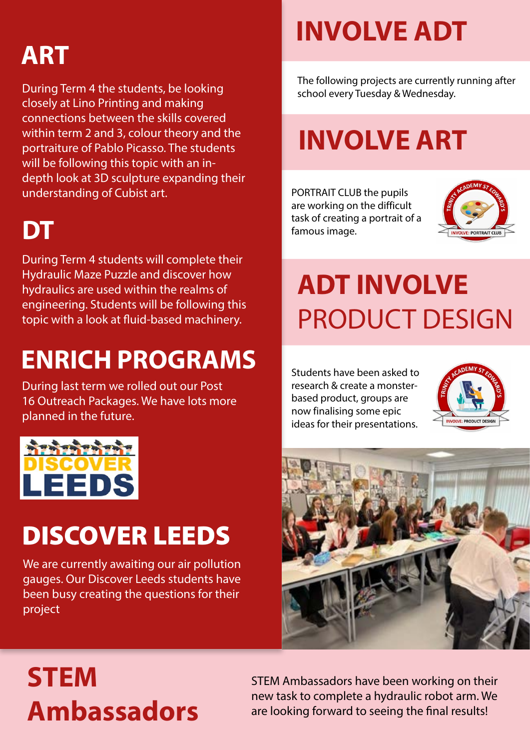## **ART**

During Term 4 the students, be looking closely at Lino Printing and making connections between the skills covered within term 2 and 3, colour theory and the portraiture of Pablo Picasso. The students will be following this topic with an indepth look at 3D sculpture expanding their understanding of Cubist art.

## **DT**

During Term 4 students will complete their Hydraulic Maze Puzzle and discover how hydraulics are used within the realms of engineering. Students will be following this topic with a look at fluid-based machinery.

## **ENRICH PROGRAMS**

During last term we rolled out our Post 16 Outreach Packages. We have lots more planned in the future.



# DISCOVER LEEDS

We are currently awaiting our air pollution gauges. Our Discover Leeds students have been busy creating the questions for their project

# **INVOLVE ADT**

The following projects are currently running after school every Tuesday & Wednesday.

# **INVOLVE ART**

PORTRAIT CLUB the pupils are working on the difficult task of creating a portrait of a famous image.



# **ADT INVOLVE**  PRODUCT DESIGN

Students have been asked to research & create a monsterbased product, groups are now finalising some epic ideas for their presentations.





# **STEM Ambassadors**

STEM Ambassadors have been working on their new task to complete a hydraulic robot arm. We are looking forward to seeing the final results!